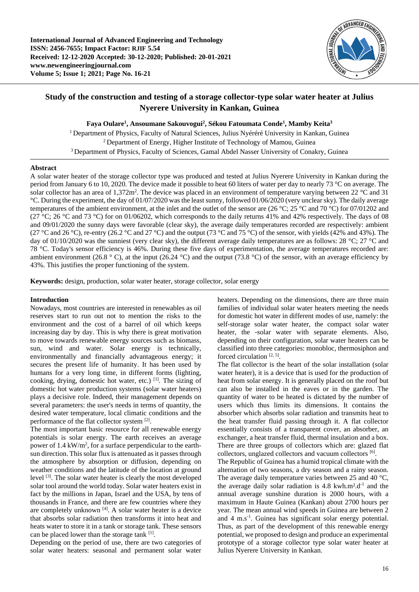

# **Study of the construction and testing of a storage collector-type solar water heater at Julius Nyerere University in Kankan, Guinea**

**Faya Oulare<sup>1</sup> , Ansoumane Sakouvogui<sup>2</sup> , Sékou Fatoumata Conde<sup>1</sup> , Mamby Keita<sup>3</sup>**

<sup>1</sup> Department of Physics, Faculty of Natural Sciences, Julius Nyéréré University in Kankan, Guinea  $2$  Department of Energy, Higher Institute of Technology of Mamou, Guinea <sup>3</sup> Department of Physics, Faculty of Sciences, Gamal Abdel Nasser University of Conakry, Guinea

## **Abstract**

A solar water heater of the storage collector type was produced and tested at Julius Nyerere University in Kankan during the period from January 6 to 10, 2020. The device made it possible to heat 60 liters of water per day to nearly 73 °C on average. The solar collector has an area of  $1,372$ m<sup>2</sup>. The device was placed in an environment of temperature varying between 22 °C and 31 °C. During the experiment, the day of 01/07/2020 was the least sunny, followed 01/06/2020 (very unclear sky). The daily average temperatures of the ambient environment, at the inlet and the outlet of the sensor are (26 °C; 25 °C and 70 °C) for 07/01202 and (27 °C; 26 °C and 73 °C) for on 01/06202, which corresponds to the daily returns 41% and 42% respectively. The days of 08 and 09/01/2020 the sunny days were favorable (clear sky), the average daily temperatures recorded are respectively: ambient (27 °C and 26 °C), re-entry (26.2 °C and 27 °C) and the output (73 °C and 75 °C) of the sensor, with yields (42% and 43%). The day of 01/10/2020 was the sunniest (very clear sky), the different average daily temperatures are as follows: 28  $^{\circ}$ C; 27  $^{\circ}$ C and 78 °C. Today's sensor efficiency is 46%. During these five days of experimentation, the average temperatures recorded are: ambient environment (26.8  $\degree$  C), at the input (26.24  $\degree$ C) and the output (73.8  $\degree$ C) of the sensor, with an average efficiency by 43%. This justifies the proper functioning of the system.

**Keywords:** design, production, solar water heater, storage collector, solar energy

## **Introduction**

Nowadays, most countries are interested in renewables as oil reserves start to run out not to mention the risks to the environment and the cost of a barrel of oil which keeps increasing day by day. This is why there is great motivation to move towards renewable energy sources such as biomass, sun, wind and water. Solar energy is technically, environmentally and financially advantageous energy; it secures the present life of humanity. It has been used by humans for a very long time, in different forms (lighting, cooking, drying, domestic hot water, etc.) [1]. The sizing of domestic hot water production systems (solar water heaters) plays a decisive role. Indeed, their management depends on several parameters: the user's needs in terms of quantity, the desired water temperature, local climatic conditions and the performance of the flat collector system [2].

The most important basic resource for all renewable energy potentials is solar energy. The earth receives an average power of  $1.4 \text{ kW/m}^2$ , for a surface perpendicular to the earthsun direction. This solar flux is attenuated as it passes through the atmosphere by absorption or diffusion, depending on weather conditions and the latitude of the location at ground level [3]. The solar water heater is clearly the most developed solar tool around the world today. Solar water heaters exist in fact by the millions in Japan, Israel and the USA, by tens of thousands in France, and there are few countries where they are completely unknown [4]. A solar water heater is a device that absorbs solar radiation then transforms it into heat and heats water to store it in a tank or storage tank. These sensors can be placed lower than the storage tank [1].

Depending on the period of use, there are two categories of solar water heaters: seasonal and permanent solar water

heaters. Depending on the dimensions, there are three main families of individual solar water heaters meeting the needs for domestic hot water in different modes of use, namely: the self-storage solar water heater, the compact solar water heater, the -solar water with separate elements. Also, depending on their configuration, solar water heaters can be classified into three categories: monobloc, thermosiphon and forced circulation<sup>[2, 5]</sup>.

The flat collector is the heart of the solar installation (solar water heater), it is a device that is used for the production of heat from solar energy. It is generally placed on the roof but can also be installed in the eaves or in the garden. The quantity of water to be heated is dictated by the number of users which thus limits its dimensions. It contains the absorber which absorbs solar radiation and transmits heat to the heat transfer fluid passing through it. A flat collector essentially consists of a transparent cover, an absorber, an exchanger, a heat transfer fluid, thermal insulation and a box. There are three groups of collectors which are: glazed flat collectors, unglazed collectors and vacuum collectors [6].

The Republic of Guinea has a humid tropical climate with the alternation of two seasons, a dry season and a rainy season. The average daily temperature varies between 25 and 40 °C, the average daily solar radiation is  $4.8 \text{ kWh} \cdot \text{m}^2 \cdot \text{d}^{-1}$  and the annual average sunshine duration is 2000 hours, with a maximum in Haute Guinea (Kankan) about 2700 hours per year. The mean annual wind speeds in Guinea are between 2 and 4 m.s-1 . Guinea has significant solar energy potential. Thus, as part of the development of this renewable energy potential, we proposed to design and produce an experimental prototype of a storage collector type solar water heater at Julius Nyerere University in Kankan.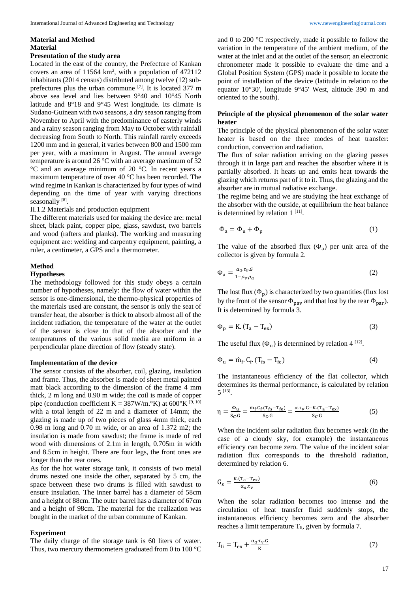# **Material and Method Material**

## **Presentation of the study area**

Located in the east of the country, the Prefecture of Kankan covers an area of  $11564 \text{ km}^2$ , with a population of  $472112$ inhabitants (2014 census) distributed among twelve (12) subprefectures plus the urban commune [7]. It is located 377 m above sea level and lies between 9°40 and 10°45 North latitude and 8°18 and 9°45 West longitude. Its climate is Sudano-Guinean with two seasons, a dry season ranging from November to April with the predominance of easterly winds and a rainy season ranging from May to October with rainfall decreasing from South to North. This rainfall rarely exceeds 1200 mm and in general, it varies between 800 and 1500 mm per year, with a maximum in August. The annual average temperature is around 26 °C with an average maximum of 32 °C and an average minimum of 20 °C. In recent years a maximum temperature of over 40 °C has been recorded. The wind regime in Kankan is characterized by four types of wind depending on the time of year with varying directions seasonally [8].

#### II.1.2 Materials and production equipment

The different materials used for making the device are: metal sheet, black paint, copper pipe, glass, sawdust, two barrels and wood (rafters and planks). The working and measuring equipment are: welding and carpentry equipment, painting, a ruler, a centimeter, a GPS and a thermometer.

#### **Method**

## **Hypotheses**

The methodology followed for this study obeys a certain number of hypotheses, namely: the flow of water within the sensor is one-dimensional, the thermo-physical properties of the materials used are constant, the sensor is only the seat of transfer heat, the absorber is thick to absorb almost all of the incident radiation, the temperature of the water at the outlet of the sensor is close to that of the absorber and the temperatures of the various solid media are uniform in a perpendicular plane direction of flow (steady state).

#### **Implementation of the device**

The sensor consists of the absorber, coil, glazing, insulation and frame. Thus, the absorber is made of sheet metal painted matt black according to the dimension of the frame 4 mm thick, 2 m long and 0.90 m wide; the coil is made of copper pipe (conduction coefficient K = 387W/m. $\mathrm{K}$ ) at 600 $\mathrm{K}$ <sup>[9, 10]</sup> with a total length of 22 m and a diameter of 14mm; the glazing is made up of two pieces of glass 4mm thick, each 0.98 m long and 0.70 m wide, or an area of 1.372 m2; the insulation is made from sawdust; the frame is made of red wood with dimensions of 2.1m in length, 0.705m in width and 8.5cm in height. There are four legs, the front ones are longer than the rear ones.

As for the hot water storage tank, it consists of two metal drums nested one inside the other, separated by 5 cm, the space between these two drums is filled with sawdust to ensure insulation. The inner barrel has a diameter of 58cm and a height of 88cm. The outer barrel has a diameter of 67cm and a height of 98cm. The material for the realization was bought in the market of the urban commune of Kankan.

#### **Experiment**

The daily charge of the storage tank is 60 liters of water. Thus, two mercury thermometers graduated from 0 to 100 °C

and 0 to 200 °C respectively, made it possible to follow the variation in the temperature of the ambient medium, of the water at the inlet and at the outlet of the sensor; an electronic chronometer made it possible to evaluate the time and a Global Position System (GPS) made it possible to locate the point of installation of the device (latitude in relation to the equator 10°30', longitude 9°45' West, altitude 390 m and oriented to the south).

## **Principle of the physical phenomenon of the solar water heater**

The principle of the physical phenomenon of the solar water heater is based on the three modes of heat transfer: conduction, convection and radiation.

The flux of solar radiation arriving on the glazing passes through it in large part and reaches the absorber where it is partially absorbed. It heats up and emits heat towards the glazing which returns part of it to it. Thus, the glazing and the absorber are in mutual radiative exchange.

The regime being and we are studying the heat exchange of the absorber with the outside, at equilibrium the heat balance is determined by relation  $1^{[11]}$ .

$$
\Phi_a = \Phi_u + \Phi_p \tag{1}
$$

The value of the absorbed flux  $(\Phi_a)$  per unit area of the collector is given by formula 2.

$$
\Phi_{a} = \frac{\alpha_{a} \cdot \tau_{v} \cdot G}{1 - \rho_{v} \cdot \rho_{a}} \tag{2}
$$

The lost flux  $(\Phi_p)$  is characterized by two quantities (flux lost by the front of the sensor  $\Phi_{\text{pav}}$  and that lost by the rear  $\Phi_{\text{par}}$ ). It is determined by formula 3.

$$
\Phi_{\rm p} = \text{K.}(\text{T}_{\rm a} - \text{T}_{\rm ex})\tag{3}
$$

The useful flux  $(\Phi_u)$  is determined by relation 4 <sup>[12]</sup>.

$$
\Phi_{\mathbf{u}} = \dot{m}_{\mathbf{f}} \cdot C_{\mathbf{f}} \cdot (T_{\mathbf{f}s} - T_{\mathbf{f}e}) \tag{4}
$$

The instantaneous efficiency of the flat collector, which determines its thermal performance, is calculated by relation 5 [13] .

$$
\eta = \frac{\Phi_{u}}{S_{C}.G} = \frac{\dot{m}_{f}.C_{f}.(T_{fs}-T_{fe})}{S_{C}.G} = \frac{\alpha \tau_{v}.G - K(T_{a}-T_{ex})}{S_{C}.G}
$$
(5)

When the incident solar radiation flux becomes weak (in the case of a cloudy sky, for example) the instantaneous efficiency can become zero. The value of the incident solar radiation flux corresponds to the threshold radiation, determined by relation 6.

$$
G_{s} = \frac{K(T_{a} - T_{ex})}{\alpha_{a} \tau_{v}}
$$
\n
$$
\tag{6}
$$

When the solar radiation becomes too intense and the circulation of heat transfer fluid suddenly stops, the instantaneous efficiency becomes zero and the absorber reaches a limit temperature  $T_{li}$ , given by formula 7.

$$
T_{li} = T_{ex} + \frac{\alpha_a \cdot \tau_v \cdot G}{K}
$$
 (7)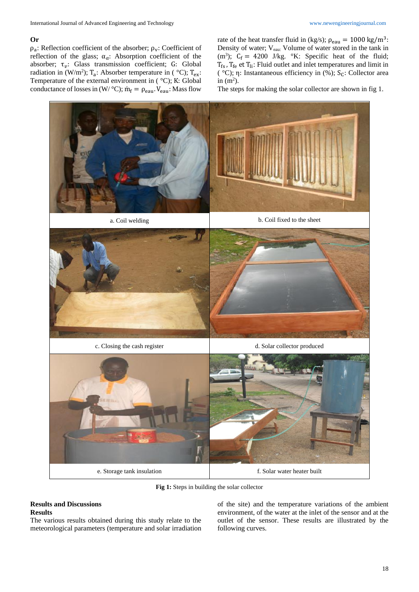## **Or**

 $\rho_a$ : Reflection coefficient of the absorber;  $\rho_v$ : Coefficient of reflection of the glass;  $\alpha_a$ : Absorption coefficient of the absorber;  $\tau_v$ : Glass transmission coefficient; G: Global radiation in (W/m<sup>2</sup>); T<sub>a</sub>: Absorber temperature in ( $\degree$ C); T<sub>ex</sub>: Temperature of the external environment in ( °C); K: Global conductance of losses in  $(W/ {}^{\circ}C)$ ;  $\dot{m}_f = \rho_{eau}$ . V<sub>eau</sub>: Mass flow

rate of the heat transfer fluid in (kg/s);  $\rho_{eau} = 1000 \text{ kg/m}^3$ : Density of water; Veau: Volume of water stored in the tank in (m<sup>3</sup>);  $C_f = 4200$  J/kg. °K: Specific heat of the fluid;  $T_{fs}$ ,  $T_{fe}$  et  $T_{li}$ : Fluid outlet and inlet temperatures and limit in ( $°C$ ); η: Instantaneous efficiency in (%); S<sub>c</sub>: Collector area in  $(m^2)$ .

The steps for making the solar collector are shown in fig 1.



**Fig 1:** Steps in building the solar collector

## **Results and Discussions Results**

The various results obtained during this study relate to the meteorological parameters (temperature and solar irradiation

of the site) and the temperature variations of the ambient environment, of the water at the inlet of the sensor and at the outlet of the sensor. These results are illustrated by the following curves.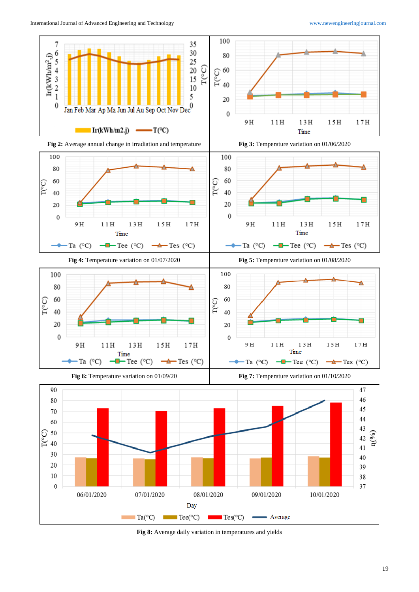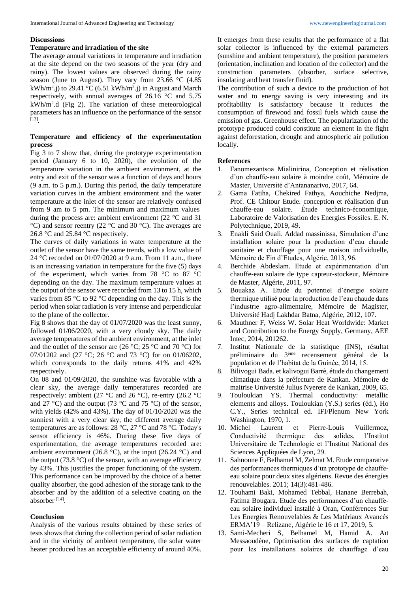## **Discussions**

#### **Temperature and irradiation of the site**

The average annual variations in temperature and irradiation at the site depend on the two seasons of the year (dry and rainy). The lowest values are observed during the rainy season (June to August). They vary from 23.66 °C (4.85 kWh/m<sup>2</sup>.j) to 29.41 °C (6.51 kWh/m<sup>2</sup>.j) in August and March respectively, with annual averages of 26.16 °C and 5.75 kWh/m<sup>2</sup> .d (Fig 2). The variation of these meteorological parameters has an influence on the performance of the sensor [13] .

## **Temperature and efficiency of the experimentation process**

Fig 3 to 7 show that, during the prototype experimentation period (January 6 to 10, 2020), the evolution of the temperature variation in the ambient environment, at the entry and exit of the sensor was a function of days and hours (9 a.m. to 5 p.m.). During this period, the daily temperature variation curves in the ambient environment and the water temperature at the inlet of the sensor are relatively confused from 9 am to 5 pm. The minimum and maximum values during the process are: ambient environment (22 °C and 31 °C) and sensor reentry (22 °C and 30 °C). The averages are 26.8 °C and 25.84 °C respectively.

The curves of daily variations in water temperature at the outlet of the sensor have the same trends, with a low value of 24 °C recorded on 01/07/2020 at 9 a.m. From 11 a.m., there is an increasing variation in temperature for the five (5) days of the experiment, which varies from 78 °C to 87 °C depending on the day. The maximum temperature values at the output of the sensor were recorded from 13 to 15 h, which varies from 85 °C to 92 °C depending on the day. This is the period when solar radiation is very intense and perpendicular to the plane of the collector.

Fig 8 shows that the day of 01/07/2020 was the least sunny, followed 01/06/2020, with a very cloudy sky. The daily average temperatures of the ambient environment, at the inlet and the outlet of the sensor are  $(26 °C; 25 °C)$  and  $70 °C$  for 07/01202 and (27 °C; 26 °C and 73 °C) for on 01/06202, which corresponds to the daily returns 41% and 42% respectively.

On 08 and 01/09/2020, the sunshine was favorable with a clear sky, the average daily temperatures recorded are respectively: ambient (27 °C and 26 °C), re-entry (26.2 °C and 27 °C) and the output (73 °C and 75 °C) of the sensor, with yields (42% and 43%). The day of 01/10/2020 was the sunniest with a very clear sky, the different average daily temperatures are as follows: 28 °C, 27 °C and 78 °C. Today's sensor efficiency is 46%. During these five days of experimentation, the average temperatures recorded are: ambient environment (26.8 °C), at the input (26.24 °C) and the output (73.8 °C) of the sensor, with an average efficiency by 43%. This justifies the proper functioning of the system. This performance can be improved by the choice of a better quality absorber, the good adhesion of the storage tank to the absorber and by the addition of a selective coating on the absorber<sup>[14]</sup>.

## **Conclusion**

Analysis of the various results obtained by these series of tests shows that during the collection period of solar radiation and in the vicinity of ambient temperature, the solar water heater produced has an acceptable efficiency of around 40%.

It emerges from these results that the performance of a flat solar collector is influenced by the external parameters (sunshine and ambient temperature), the position parameters (orientation, inclination and location of the collector) and the construction parameters (absorber, surface selective, insulating and heat transfer fluid).

The contribution of such a device to the production of hot water and to energy saving is very interesting and its profitability is satisfactory because it reduces the consumption of firewood and fossil fuels which cause the emission of gas. Greenhouse effect. The popularization of the prototype produced could constitute an element in the fight against deforestation, drought and atmospheric air pollution locally.

## **References**

- 1. Fanomezantsoa Mialinirina, Conception et réalisation d'un chauffe-eau solaire à moindre coût, Mémoire de Master, Université d'Antananarivo, 2017, 64.
- 2. Gama Fatiha, Chekired Fathya, Aouchiche Nedjma, Prof. CE Chitour Etude. conception et réalisation d'un chauffe-eau solaire. Étude technico-économique, Laboratoire de Valorisation des Energies Fossiles. E. N. Polytechnique, 2019, 49.
- 3. Enakli Said Ouali. Addad massinissa, Simulation d'une installation solaire pour la production d'eau chaude sanitaire et chauffage pour une maison individuelle, Mémoire de Fin d'Etudes, Algérie, 2013, 96.
- 4. Berchide Abdeslam. Etude et expérimentation d'un chauffe-eau solaire de type capteur-stockeur, Mémoire de Master, Algérie, 2011, 97.
- 5. Bouakaz A. Etude du potentiel d'énergie solaire thermique utilisé pour la production de l'eau chaude dans l'industrie agro-alimentaire, Mémoire de Magister, Université Hadj Lakhdar Batna, Algérie, 2012, 107.
- 6. Mauthner F, Weiss W. Solar Heat Worldwide: Market and Contribution to the Energy Supply, Germany, AEE Intec, 2014, 201262.
- 7. Institut Nationale de la statistique (INS), résultat préliminaire du 3ème recensement général de la population et de l'habitat de la Guinée, 2014, 15.
- 8. Bilivogui Bada. et kalivogui Barrè, étude du changement climatique dans la préfecture de Kankan. Mémoire de maitrise Université Julius Nyerere de Kankan, 2009, 65.
- 9. Touloukian YS. Thermal conductivity: metallic elements and alloys. Touloukian (Y.S.) series (éd.), Ho C.Y., Series technical ed. IFI/Plenum New York Washington, 1970, 1.
- 10. Michel Laurent et Pierre-Louis Vuillermoz, Conductivité thermique des solides, l'Institut Universitaire de Technologie et l'Institut National des Sciences Appliquées de Lyon, 29.
- 11. Sahnoune F, Belhamel M, Zelmat M. Etude comparative des performances thermiques d'un prototype de chauffeeau solaire pour deux sites algériens. Revue des énergies renouvelables. 2011; 14(3):481-486.
- 12. Touhami Baki, Mohamed Tebbal, Hanane Berrebah, Fatima Bougara. Etude des performances d'un chauffeeau solaire individuel installé à Oran, Conférences Sur Les Energies Renouvelables & Les Matériaux Avancés ERMA'19 – Relizane, Algérie le 16 et 17, 2019, 5.
- 13. Sami-Mecheri S, Belhamel M, Hamid A. Aït Messaoudène, Optimisation des surfaces de captation pour les installations solaires de chauffage d'eau